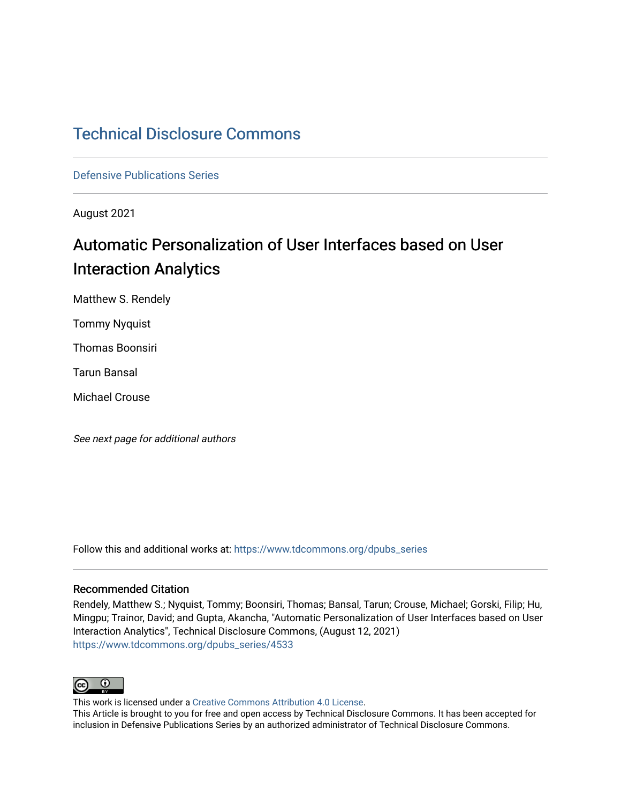## [Technical Disclosure Commons](https://www.tdcommons.org/)

[Defensive Publications Series](https://www.tdcommons.org/dpubs_series)

August 2021

# Automatic Personalization of User Interfaces based on User Interaction Analytics

Matthew S. Rendely

Tommy Nyquist

Thomas Boonsiri

Tarun Bansal

Michael Crouse

See next page for additional authors

Follow this and additional works at: [https://www.tdcommons.org/dpubs\\_series](https://www.tdcommons.org/dpubs_series?utm_source=www.tdcommons.org%2Fdpubs_series%2F4533&utm_medium=PDF&utm_campaign=PDFCoverPages) 

### Recommended Citation

Rendely, Matthew S.; Nyquist, Tommy; Boonsiri, Thomas; Bansal, Tarun; Crouse, Michael; Gorski, Filip; Hu, Mingpu; Trainor, David; and Gupta, Akancha, "Automatic Personalization of User Interfaces based on User Interaction Analytics", Technical Disclosure Commons, (August 12, 2021) [https://www.tdcommons.org/dpubs\\_series/4533](https://www.tdcommons.org/dpubs_series/4533?utm_source=www.tdcommons.org%2Fdpubs_series%2F4533&utm_medium=PDF&utm_campaign=PDFCoverPages)



This work is licensed under a [Creative Commons Attribution 4.0 License](http://creativecommons.org/licenses/by/4.0/deed.en_US).

This Article is brought to you for free and open access by Technical Disclosure Commons. It has been accepted for inclusion in Defensive Publications Series by an authorized administrator of Technical Disclosure Commons.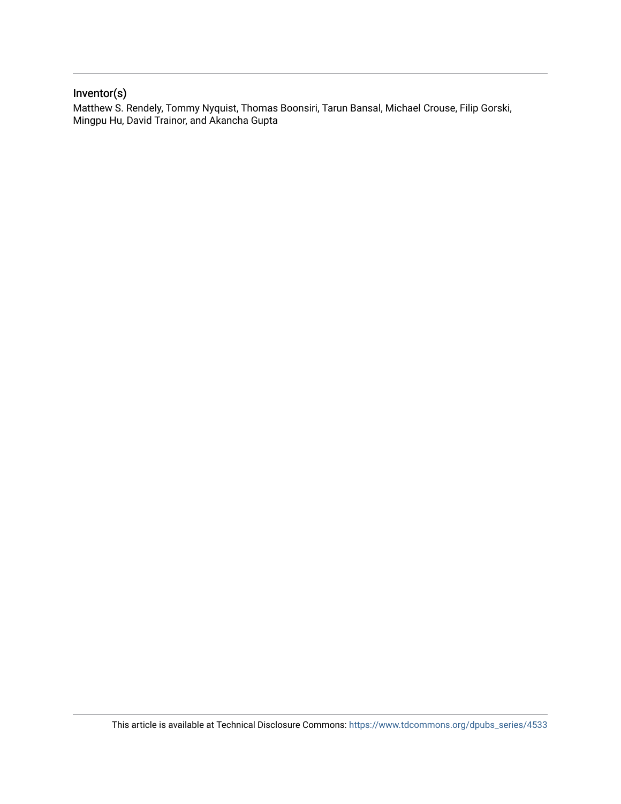### Inventor(s)

Matthew S. Rendely, Tommy Nyquist, Thomas Boonsiri, Tarun Bansal, Michael Crouse, Filip Gorski, Mingpu Hu, David Trainor, and Akancha Gupta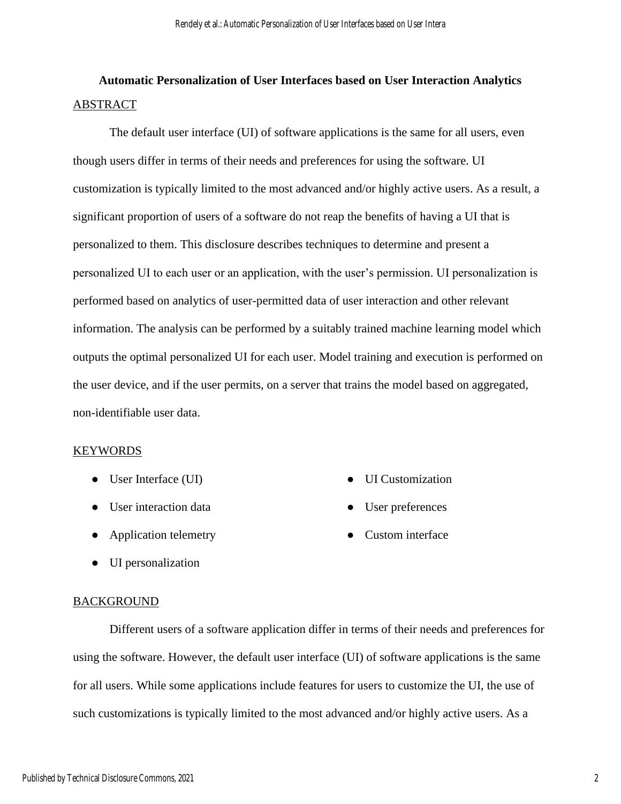## **Automatic Personalization of User Interfaces based on User Interaction Analytics**  ABSTRACT

The default user interface (UI) of software applications is the same for all users, even though users differ in terms of their needs and preferences for using the software. UI customization is typically limited to the most advanced and/or highly active users. As a result, a significant proportion of users of a software do not reap the benefits of having a UI that is personalized to them. This disclosure describes techniques to determine and present a personalized UI to each user or an application, with the user's permission. UI personalization is performed based on analytics of user-permitted data of user interaction and other relevant information. The analysis can be performed by a suitably trained machine learning model which outputs the optimal personalized UI for each user. Model training and execution is performed on the user device, and if the user permits, on a server that trains the model based on aggregated, non-identifiable user data.

### KEYWORDS

- User Interface (UI)
- User interaction data
- Application telemetry
- UI personalization

#### **BACKGROUND**

Different users of a software application differ in terms of their needs and preferences for using the software. However, the default user interface (UI) of software applications is the same for all users. While some applications include features for users to customize the UI, the use of such customizations is typically limited to the most advanced and/or highly active users. As a

- UI Customization
- User preferences
- Custom interface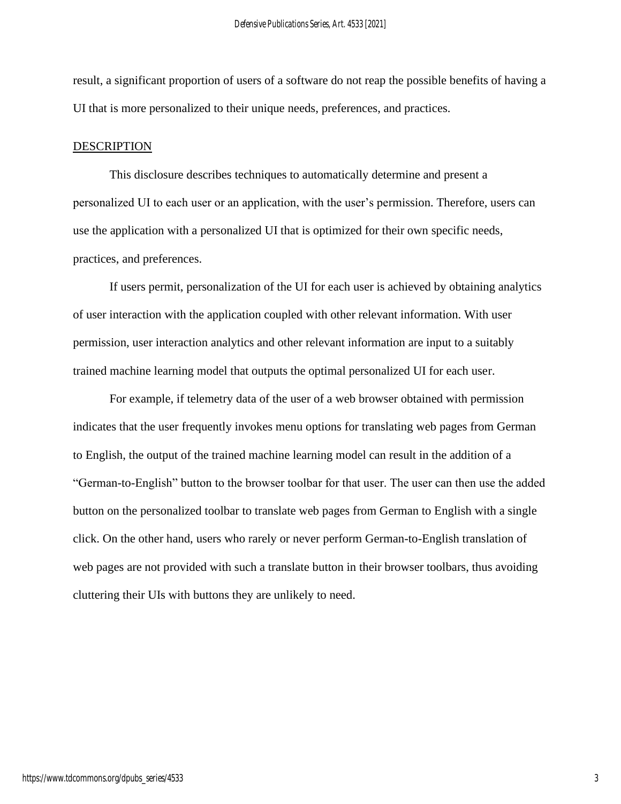result, a significant proportion of users of a software do not reap the possible benefits of having a UI that is more personalized to their unique needs, preferences, and practices.

#### DESCRIPTION

This disclosure describes techniques to automatically determine and present a personalized UI to each user or an application, with the user's permission. Therefore, users can use the application with a personalized UI that is optimized for their own specific needs, practices, and preferences.

If users permit, personalization of the UI for each user is achieved by obtaining analytics of user interaction with the application coupled with other relevant information. With user permission, user interaction analytics and other relevant information are input to a suitably trained machine learning model that outputs the optimal personalized UI for each user.

For example, if telemetry data of the user of a web browser obtained with permission indicates that the user frequently invokes menu options for translating web pages from German to English, the output of the trained machine learning model can result in the addition of a "German-to-English" button to the browser toolbar for that user. The user can then use the added button on the personalized toolbar to translate web pages from German to English with a single click. On the other hand, users who rarely or never perform German-to-English translation of web pages are not provided with such a translate button in their browser toolbars, thus avoiding cluttering their UIs with buttons they are unlikely to need.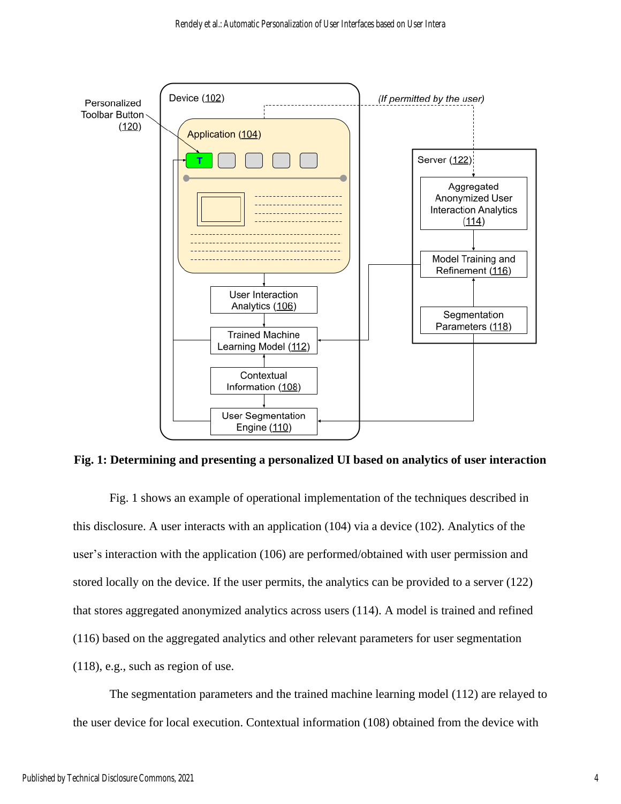

**Fig. 1: Determining and presenting a personalized UI based on analytics of user interaction**

Fig. 1 shows an example of operational implementation of the techniques described in this disclosure. A user interacts with an application (104) via a device (102). Analytics of the user's interaction with the application (106) are performed/obtained with user permission and stored locally on the device. If the user permits, the analytics can be provided to a server (122) that stores aggregated anonymized analytics across users (114). A model is trained and refined (116) based on the aggregated analytics and other relevant parameters for user segmentation (118), e.g., such as region of use.

The segmentation parameters and the trained machine learning model (112) are relayed to the user device for local execution. Contextual information (108) obtained from the device with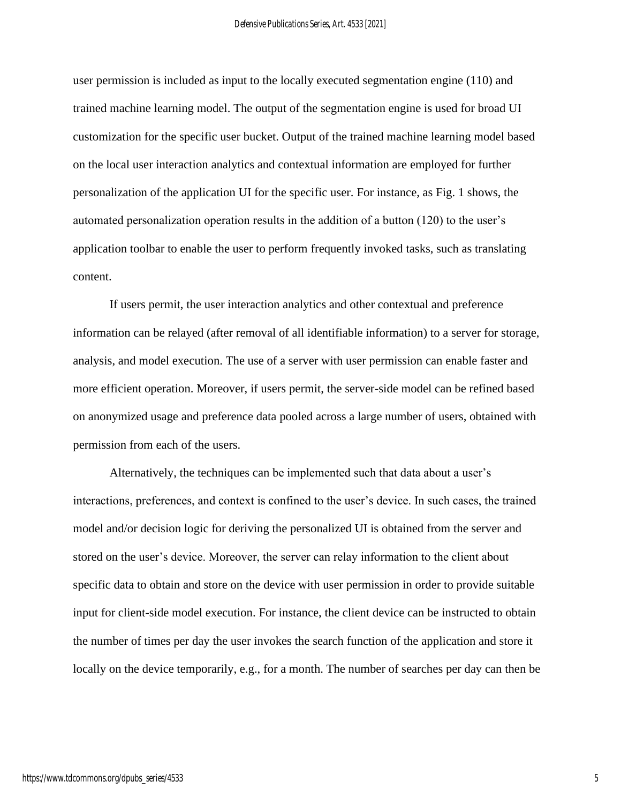user permission is included as input to the locally executed segmentation engine (110) and trained machine learning model. The output of the segmentation engine is used for broad UI customization for the specific user bucket. Output of the trained machine learning model based on the local user interaction analytics and contextual information are employed for further personalization of the application UI for the specific user. For instance, as Fig. 1 shows, the automated personalization operation results in the addition of a button (120) to the user's application toolbar to enable the user to perform frequently invoked tasks, such as translating content.

If users permit, the user interaction analytics and other contextual and preference information can be relayed (after removal of all identifiable information) to a server for storage, analysis, and model execution. The use of a server with user permission can enable faster and more efficient operation. Moreover, if users permit, the server-side model can be refined based on anonymized usage and preference data pooled across a large number of users, obtained with permission from each of the users.

Alternatively, the techniques can be implemented such that data about a user's interactions, preferences, and context is confined to the user's device. In such cases, the trained model and/or decision logic for deriving the personalized UI is obtained from the server and stored on the user's device. Moreover, the server can relay information to the client about specific data to obtain and store on the device with user permission in order to provide suitable input for client-side model execution. For instance, the client device can be instructed to obtain the number of times per day the user invokes the search function of the application and store it locally on the device temporarily, e.g., for a month. The number of searches per day can then be

5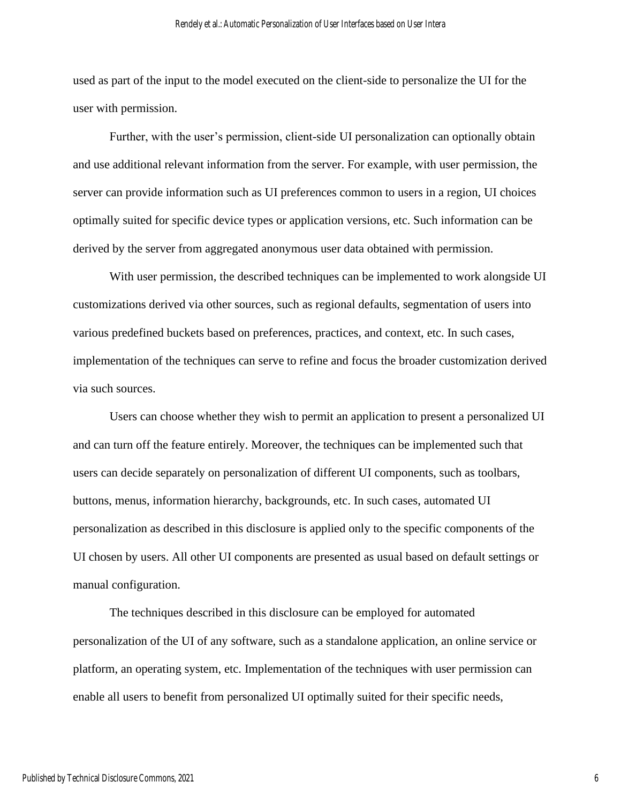used as part of the input to the model executed on the client-side to personalize the UI for the user with permission.

Further, with the user's permission, client-side UI personalization can optionally obtain and use additional relevant information from the server. For example, with user permission, the server can provide information such as UI preferences common to users in a region, UI choices optimally suited for specific device types or application versions, etc. Such information can be derived by the server from aggregated anonymous user data obtained with permission.

With user permission, the described techniques can be implemented to work alongside UI customizations derived via other sources, such as regional defaults, segmentation of users into various predefined buckets based on preferences, practices, and context, etc. In such cases, implementation of the techniques can serve to refine and focus the broader customization derived via such sources.

Users can choose whether they wish to permit an application to present a personalized UI and can turn off the feature entirely. Moreover, the techniques can be implemented such that users can decide separately on personalization of different UI components, such as toolbars, buttons, menus, information hierarchy, backgrounds, etc. In such cases, automated UI personalization as described in this disclosure is applied only to the specific components of the UI chosen by users. All other UI components are presented as usual based on default settings or manual configuration.

The techniques described in this disclosure can be employed for automated personalization of the UI of any software, such as a standalone application, an online service or platform, an operating system, etc. Implementation of the techniques with user permission can enable all users to benefit from personalized UI optimally suited for their specific needs,